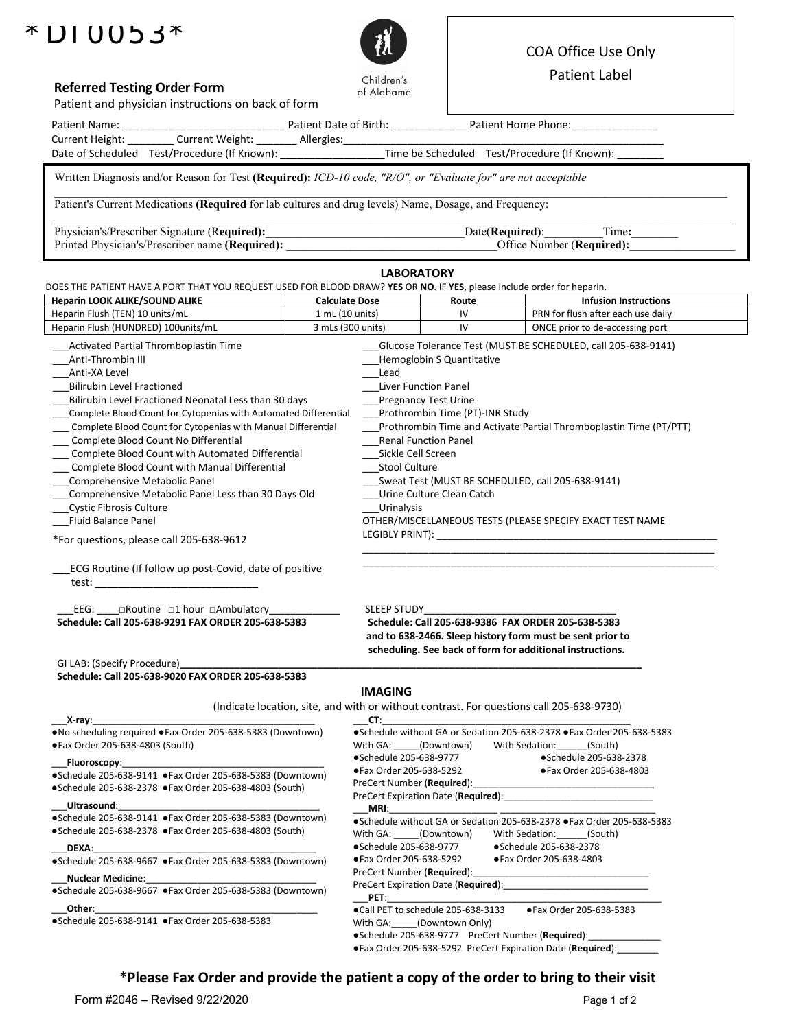# $*$ DIUOb3 $*$



## COA Office Use Only

Patient Label

| <b>Referred Testing Order Form</b>                                                                                                                                                                                                                                                                                                                                                                                                                                                                                                                                                                                                                                                                                                                                                                                                                                                                                        |                                                                                                                    | of Alabama                                                                                                                                                                                                                                                                                                                                                                                                                                                                                                                                                                                                                                                                                           |                                                                   |  |                                                                                          |  |  |
|---------------------------------------------------------------------------------------------------------------------------------------------------------------------------------------------------------------------------------------------------------------------------------------------------------------------------------------------------------------------------------------------------------------------------------------------------------------------------------------------------------------------------------------------------------------------------------------------------------------------------------------------------------------------------------------------------------------------------------------------------------------------------------------------------------------------------------------------------------------------------------------------------------------------------|--------------------------------------------------------------------------------------------------------------------|------------------------------------------------------------------------------------------------------------------------------------------------------------------------------------------------------------------------------------------------------------------------------------------------------------------------------------------------------------------------------------------------------------------------------------------------------------------------------------------------------------------------------------------------------------------------------------------------------------------------------------------------------------------------------------------------------|-------------------------------------------------------------------|--|------------------------------------------------------------------------------------------|--|--|
| Patient and physician instructions on back of form                                                                                                                                                                                                                                                                                                                                                                                                                                                                                                                                                                                                                                                                                                                                                                                                                                                                        |                                                                                                                    |                                                                                                                                                                                                                                                                                                                                                                                                                                                                                                                                                                                                                                                                                                      |                                                                   |  |                                                                                          |  |  |
|                                                                                                                                                                                                                                                                                                                                                                                                                                                                                                                                                                                                                                                                                                                                                                                                                                                                                                                           |                                                                                                                    |                                                                                                                                                                                                                                                                                                                                                                                                                                                                                                                                                                                                                                                                                                      |                                                                   |  |                                                                                          |  |  |
| Current Height: ________ Current Weight: _______ Allergies: ____________________                                                                                                                                                                                                                                                                                                                                                                                                                                                                                                                                                                                                                                                                                                                                                                                                                                          |                                                                                                                    |                                                                                                                                                                                                                                                                                                                                                                                                                                                                                                                                                                                                                                                                                                      |                                                                   |  |                                                                                          |  |  |
| Date of Scheduled Test/Procedure (If Known): ___________________Time be Scheduled Test/Procedure (If Known):                                                                                                                                                                                                                                                                                                                                                                                                                                                                                                                                                                                                                                                                                                                                                                                                              |                                                                                                                    |                                                                                                                                                                                                                                                                                                                                                                                                                                                                                                                                                                                                                                                                                                      |                                                                   |  |                                                                                          |  |  |
| Written Diagnosis and/or Reason for Test (Required): ICD-10 code, "R/O", or "Evaluate for" are not acceptable                                                                                                                                                                                                                                                                                                                                                                                                                                                                                                                                                                                                                                                                                                                                                                                                             |                                                                                                                    |                                                                                                                                                                                                                                                                                                                                                                                                                                                                                                                                                                                                                                                                                                      |                                                                   |  |                                                                                          |  |  |
| Patient's Current Medications (Required for lab cultures and drug levels) Name, Dosage, and Frequency:                                                                                                                                                                                                                                                                                                                                                                                                                                                                                                                                                                                                                                                                                                                                                                                                                    |                                                                                                                    |                                                                                                                                                                                                                                                                                                                                                                                                                                                                                                                                                                                                                                                                                                      |                                                                   |  |                                                                                          |  |  |
|                                                                                                                                                                                                                                                                                                                                                                                                                                                                                                                                                                                                                                                                                                                                                                                                                                                                                                                           |                                                                                                                    |                                                                                                                                                                                                                                                                                                                                                                                                                                                                                                                                                                                                                                                                                                      |                                                                   |  |                                                                                          |  |  |
| Physician's/Prescriber Signature (Required):<br>Printed Physician's/Prescriber name (Required): ________________________________                                                                                                                                                                                                                                                                                                                                                                                                                                                                                                                                                                                                                                                                                                                                                                                          | Date(Required):<br>Time:<br><u> 1989 - Johann Barbara, martin amerikan personal (</u><br>Office Number (Required): |                                                                                                                                                                                                                                                                                                                                                                                                                                                                                                                                                                                                                                                                                                      |                                                                   |  |                                                                                          |  |  |
|                                                                                                                                                                                                                                                                                                                                                                                                                                                                                                                                                                                                                                                                                                                                                                                                                                                                                                                           |                                                                                                                    | <b>LABORATORY</b>                                                                                                                                                                                                                                                                                                                                                                                                                                                                                                                                                                                                                                                                                    |                                                                   |  |                                                                                          |  |  |
| DOES THE PATIENT HAVE A PORT THAT YOU REQUEST USED FOR BLOOD DRAW? YES OR NO. IF YES, please include order for heparin.<br>Heparin LOOK ALIKE/SOUND ALIKE                                                                                                                                                                                                                                                                                                                                                                                                                                                                                                                                                                                                                                                                                                                                                                 | <b>Calculate Dose</b>                                                                                              |                                                                                                                                                                                                                                                                                                                                                                                                                                                                                                                                                                                                                                                                                                      | Route                                                             |  | <b>Infusion Instructions</b>                                                             |  |  |
| Heparin Flush (TEN) 10 units/mL                                                                                                                                                                                                                                                                                                                                                                                                                                                                                                                                                                                                                                                                                                                                                                                                                                                                                           | 1 mL (10 units)                                                                                                    |                                                                                                                                                                                                                                                                                                                                                                                                                                                                                                                                                                                                                                                                                                      | IV                                                                |  | PRN for flush after each use daily                                                       |  |  |
| Heparin Flush (HUNDRED) 100units/mL                                                                                                                                                                                                                                                                                                                                                                                                                                                                                                                                                                                                                                                                                                                                                                                                                                                                                       | 3 mLs (300 units)                                                                                                  |                                                                                                                                                                                                                                                                                                                                                                                                                                                                                                                                                                                                                                                                                                      | IV                                                                |  | ONCE prior to de-accessing port                                                          |  |  |
|                                                                                                                                                                                                                                                                                                                                                                                                                                                                                                                                                                                                                                                                                                                                                                                                                                                                                                                           |                                                                                                                    |                                                                                                                                                                                                                                                                                                                                                                                                                                                                                                                                                                                                                                                                                                      |                                                                   |  |                                                                                          |  |  |
| Activated Partial Thromboplastin Time<br>Anti-Thrombin III<br>Anti-XA Level<br><b>Bilirubin Level Fractioned</b><br>Bilirubin Level Fractioned Neonatal Less than 30 days<br>Complete Blood Count for Cytopenias with Automated Differential<br>Complete Blood Count for Cytopenias with Manual Differential<br>Complete Blood Count No Differential<br>Complete Blood Count with Automated Differential<br>Complete Blood Count with Manual Differential<br>Comprehensive Metabolic Panel<br>Comprehensive Metabolic Panel Less than 30 Days Old<br><b>Cystic Fibrosis Culture</b><br><b>Fluid Balance Panel</b><br>*For questions, please call 205-638-9612<br>ECG Routine (If follow up post-Covid, date of positive<br>EEG: ____ aRoutine a1 hour aAmbulatory ____________<br>Schedule: Call 205-638-9291 FAX ORDER 205-638-5383<br>GI LAB: (Specify Procedure)<br>Schedule: Call 205-638-9020 FAX ORDER 205-638-5383 |                                                                                                                    | Glucose Tolerance Test (MUST BE SCHEDULED, call 205-638-9141)<br>Hemoglobin S Quantitative<br>Lead<br>Liver Function Panel<br><b>Pregnancy Test Urine</b><br>Prothrombin Time (PT)-INR Study<br>Prothrombin Time and Activate Partial Thromboplastin Time (PT/PTT)<br><b>Renal Function Panel</b><br>Sickle Cell Screen<br>Stool Culture<br>Sweat Test (MUST BE SCHEDULED, call 205-638-9141)<br>Urine Culture Clean Catch<br>Urinalysis<br>OTHER/MISCELLANEOUS TESTS (PLEASE SPECIFY EXACT TEST NAME<br>SLEEP STUDY<br>Schedule: Call 205-638-9386 FAX ORDER 205-638-5383<br>and to 638-2466. Sleep history form must be sent prior to<br>scheduling. See back of form for additional instructions. |                                                                   |  |                                                                                          |  |  |
|                                                                                                                                                                                                                                                                                                                                                                                                                                                                                                                                                                                                                                                                                                                                                                                                                                                                                                                           |                                                                                                                    | <b>IMAGING</b>                                                                                                                                                                                                                                                                                                                                                                                                                                                                                                                                                                                                                                                                                       |                                                                   |  |                                                                                          |  |  |
|                                                                                                                                                                                                                                                                                                                                                                                                                                                                                                                                                                                                                                                                                                                                                                                                                                                                                                                           |                                                                                                                    |                                                                                                                                                                                                                                                                                                                                                                                                                                                                                                                                                                                                                                                                                                      |                                                                   |  | (Indicate location, site, and with or without contrast. For questions call 205-638-9730) |  |  |
| X-ray: Andrew Service Service Services                                                                                                                                                                                                                                                                                                                                                                                                                                                                                                                                                                                                                                                                                                                                                                                                                                                                                    |                                                                                                                    | CT:                                                                                                                                                                                                                                                                                                                                                                                                                                                                                                                                                                                                                                                                                                  |                                                                   |  | ●Schedule without GA or Sedation 205-638-2378 ●Fax Order 205-638-5383                    |  |  |
| • No scheduling required • Fax Order 205-638-5383 (Downtown)<br>● Fax Order 205-638-4803 (South)                                                                                                                                                                                                                                                                                                                                                                                                                                                                                                                                                                                                                                                                                                                                                                                                                          |                                                                                                                    | With GA: (Downtown)                                                                                                                                                                                                                                                                                                                                                                                                                                                                                                                                                                                                                                                                                  |                                                                   |  | With Sedation: (South)                                                                   |  |  |
|                                                                                                                                                                                                                                                                                                                                                                                                                                                                                                                                                                                                                                                                                                                                                                                                                                                                                                                           |                                                                                                                    | ●Schedule 205-638-9777                                                                                                                                                                                                                                                                                                                                                                                                                                                                                                                                                                                                                                                                               |                                                                   |  | ●Schedule 205-638-2378                                                                   |  |  |
| Fluoroscopy:                                                                                                                                                                                                                                                                                                                                                                                                                                                                                                                                                                                                                                                                                                                                                                                                                                                                                                              |                                                                                                                    | ●Fax Order 205-638-5292                                                                                                                                                                                                                                                                                                                                                                                                                                                                                                                                                                                                                                                                              |                                                                   |  | ● Fax Order 205-638-4803                                                                 |  |  |
| ●Schedule 205-638-9141 ●Fax Order 205-638-5383 (Downtown)<br>●Schedule 205-638-2378 ●Fax Order 205-638-4803 (South)                                                                                                                                                                                                                                                                                                                                                                                                                                                                                                                                                                                                                                                                                                                                                                                                       |                                                                                                                    | PreCert Number ( <b>Required</b> ):                                                                                                                                                                                                                                                                                                                                                                                                                                                                                                                                                                                                                                                                  |                                                                   |  |                                                                                          |  |  |
|                                                                                                                                                                                                                                                                                                                                                                                                                                                                                                                                                                                                                                                                                                                                                                                                                                                                                                                           |                                                                                                                    |                                                                                                                                                                                                                                                                                                                                                                                                                                                                                                                                                                                                                                                                                                      |                                                                   |  |                                                                                          |  |  |
| Ultrasound: <b>With an article</b>                                                                                                                                                                                                                                                                                                                                                                                                                                                                                                                                                                                                                                                                                                                                                                                                                                                                                        |                                                                                                                    | MRI:                                                                                                                                                                                                                                                                                                                                                                                                                                                                                                                                                                                                                                                                                                 |                                                                   |  |                                                                                          |  |  |
| ●Schedule 205-638-9141 ●Fax Order 205-638-5383 (Downtown)                                                                                                                                                                                                                                                                                                                                                                                                                                                                                                                                                                                                                                                                                                                                                                                                                                                                 |                                                                                                                    | ●Schedule without GA or Sedation 205-638-2378 ●Fax Order 205-638-5383                                                                                                                                                                                                                                                                                                                                                                                                                                                                                                                                                                                                                                |                                                                   |  |                                                                                          |  |  |
| ●Schedule 205-638-2378 ●Fax Order 205-638-4803 (South)                                                                                                                                                                                                                                                                                                                                                                                                                                                                                                                                                                                                                                                                                                                                                                                                                                                                    |                                                                                                                    | With GA: (Downtown)<br>With Sedation: (South)                                                                                                                                                                                                                                                                                                                                                                                                                                                                                                                                                                                                                                                        |                                                                   |  |                                                                                          |  |  |
| DEXA:                                                                                                                                                                                                                                                                                                                                                                                                                                                                                                                                                                                                                                                                                                                                                                                                                                                                                                                     |                                                                                                                    | ●Schedule 205-638-9777<br>● Schedule 205-638-2378                                                                                                                                                                                                                                                                                                                                                                                                                                                                                                                                                                                                                                                    |                                                                   |  |                                                                                          |  |  |
| ●Schedule 205-638-9667 ●Fax Order 205-638-5383 (Downtown)                                                                                                                                                                                                                                                                                                                                                                                                                                                                                                                                                                                                                                                                                                                                                                                                                                                                 |                                                                                                                    | ●Fax Order 205-638-5292<br>• Fax Order 205-638-4803                                                                                                                                                                                                                                                                                                                                                                                                                                                                                                                                                                                                                                                  |                                                                   |  |                                                                                          |  |  |
| <b>Nuclear Medicine:</b>                                                                                                                                                                                                                                                                                                                                                                                                                                                                                                                                                                                                                                                                                                                                                                                                                                                                                                  |                                                                                                                    |                                                                                                                                                                                                                                                                                                                                                                                                                                                                                                                                                                                                                                                                                                      | PreCert Number (Required):<br>PreCert Expiration Date (Required): |  |                                                                                          |  |  |
| ●Schedule 205-638-9667 ●Fax Order 205-638-5383 (Downtown)                                                                                                                                                                                                                                                                                                                                                                                                                                                                                                                                                                                                                                                                                                                                                                                                                                                                 |                                                                                                                    | PET:                                                                                                                                                                                                                                                                                                                                                                                                                                                                                                                                                                                                                                                                                                 |                                                                   |  |                                                                                          |  |  |
| Other:                                                                                                                                                                                                                                                                                                                                                                                                                                                                                                                                                                                                                                                                                                                                                                                                                                                                                                                    |                                                                                                                    | ●Call PET to schedule 205-638-3133                                                                                                                                                                                                                                                                                                                                                                                                                                                                                                                                                                                                                                                                   |                                                                   |  | ●Fax Order 205-638-5383                                                                  |  |  |
| ● Schedule 205-638-9141 ● Fax Order 205-638-5383                                                                                                                                                                                                                                                                                                                                                                                                                                                                                                                                                                                                                                                                                                                                                                                                                                                                          |                                                                                                                    | With GA:____(Downtown Only)                                                                                                                                                                                                                                                                                                                                                                                                                                                                                                                                                                                                                                                                          |                                                                   |  |                                                                                          |  |  |
|                                                                                                                                                                                                                                                                                                                                                                                                                                                                                                                                                                                                                                                                                                                                                                                                                                                                                                                           |                                                                                                                    | •Schedule 205-638-9777 PreCert Number (Required):                                                                                                                                                                                                                                                                                                                                                                                                                                                                                                                                                                                                                                                    |                                                                   |  |                                                                                          |  |  |

**\*Please Fax Order and provide the patient a copy of the order to bring to their visit**

●Fax Order 205-638-5292 PreCert Expiration Date (**Required**):\_\_\_\_\_\_\_\_